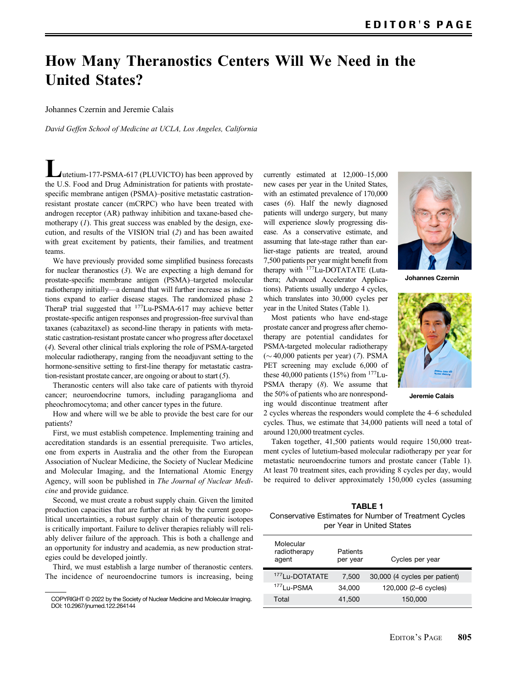## How Many Theranostics Centers Will We Need in the United States?

## Johannes Czernin and Jeremie Calais

David Geffen School of Medicine at UCLA, Los Angeles, California

Lutetium-177-PSMA-617 (PLUVICTO) has been approved by the U.S. Food and Drug Administration for patients with prostatespecific membrane antigen (PSMA)–positive metastatic castrationresistant prostate cancer (mCRPC) who have been treated with androgen receptor (AR) pathway inhibition and taxane-based chemotherapy  $(1)$  $(1)$  $(1)$ . This great success was enabled by the design, execution, and results of the VISION trial ([2](#page-1-0)) and has been awaited with great excitement by patients, their families, and treatment teams.

We have previously provided some simplified business forecasts for nuclear theranostics ([3](#page-1-0)). We are expecting a high demand for prostate-specific membrane antigen (PSMA)–targeted molecular radiotherapy initially—a demand that will further increase as indications expand to earlier disease stages. The randomized phase 2 TheraP trial suggested that 177Lu-PSMA-617 may achieve better prostate-specific antigen responses and progression-free survival than taxanes (cabazitaxel) as second-line therapy in patients with metastatic castration-resistant prostate cancer who progress after docetaxel ([4](#page-1-0)). Several other clinical trials exploring the role of PSMA-targeted molecular radiotherapy, ranging from the neoadjuvant setting to the hormone-sensitive setting to first-line therapy for metastatic castration-resistant prostate cancer, are ongoing or about to start  $(5)$  $(5)$  $(5)$ .

Theranostic centers will also take care of patients with thyroid cancer; neuroendocrine tumors, including paraganglioma and pheochromocytoma; and other cancer types in the future.

How and where will we be able to provide the best care for our patients?

First, we must establish competence. Implementing training and accreditation standards is an essential prerequisite. Two articles, one from experts in Australia and the other from the European Association of Nuclear Medicine, the Society of Nuclear Medicine and Molecular Imaging, and the International Atomic Energy Agency, will soon be published in The Journal of Nuclear Medicine and provide guidance.

Second, we must create a robust supply chain. Given the limited production capacities that are further at risk by the current geopolitical uncertainties, a robust supply chain of therapeutic isotopes is critically important. Failure to deliver therapies reliably will reliably deliver failure of the approach. This is both a challenge and an opportunity for industry and academia, as new production strategies could be developed jointly.

Third, we must establish a large number of theranostic centers. The incidence of neuroendocrine tumors is increasing, being

currently estimated at 12,000–15,000 new cases per year in the United States, with an estimated prevalence of 170,000 cases ([6](#page-1-0)). Half the newly diagnosed patients will undergo surgery, but many will experience slowly progressing disease. As a conservative estimate, and assuming that late-stage rather than earlier-stage patients are treated, around 7,500 patients per year might benefit from therapy with <sup>177</sup>Lu-DOTATATE (Lutathera; Advanced Accelerator Applications). Patients usually undergo 4 cycles, which translates into 30,000 cycles per year in the United States (Table 1).

Most patients who have end-stage prostate cancer and progress after chemotherapy are potential candidates for PSMA-targeted molecular radiotherapy  $(\sim 40,000$  patients per year) ([7](#page-1-0)). PSMA PET screening may exclude 6,000 of these 40,000 patients (15%) from  $177$ Lu-PSMA therapy ([8](#page-1-0)). We assume that the 50% of patients who are nonresponding would discontinue treatment after



Johannes Czernin



Jeremie Calais

2 cycles whereas the responders would complete the 4–6 scheduled cycles. Thus, we estimate that 34,000 patients will need a total of around 120,000 treatment cycles.

Taken together, 41,500 patients would require 150,000 treatment cycles of lutetium-based molecular radiotherapy per year for metastatic neuroendocrine tumors and prostate cancer (Table 1). At least 70 treatment sites, each providing 8 cycles per day, would be required to deliver approximately 150,000 cycles (assuming

| <b>TABLE 1</b>                                        |
|-------------------------------------------------------|
| Conservative Estimates for Number of Treatment Cycles |
| per Year in United States                             |

| Molecular<br>radiotherapy<br>agent | Patients<br>per year | Cycles per year               |  |
|------------------------------------|----------------------|-------------------------------|--|
|                                    |                      |                               |  |
| <sup>177</sup> Lu-DOTATATE         | 7,500                | 30,000 (4 cycles per patient) |  |
| <sup>177</sup> Lu-PSMA             | 34,000               | 120,000 (2-6 cycles)          |  |
| Total                              | 41,500               | 150,000                       |  |

COPYRIGHT © 2022 by the Society of Nuclear Medicine and Molecular Imaging. DOI: [10.2967/jnumed.122.264144](https://doi.org/10.2967/jnumed.122.264144)